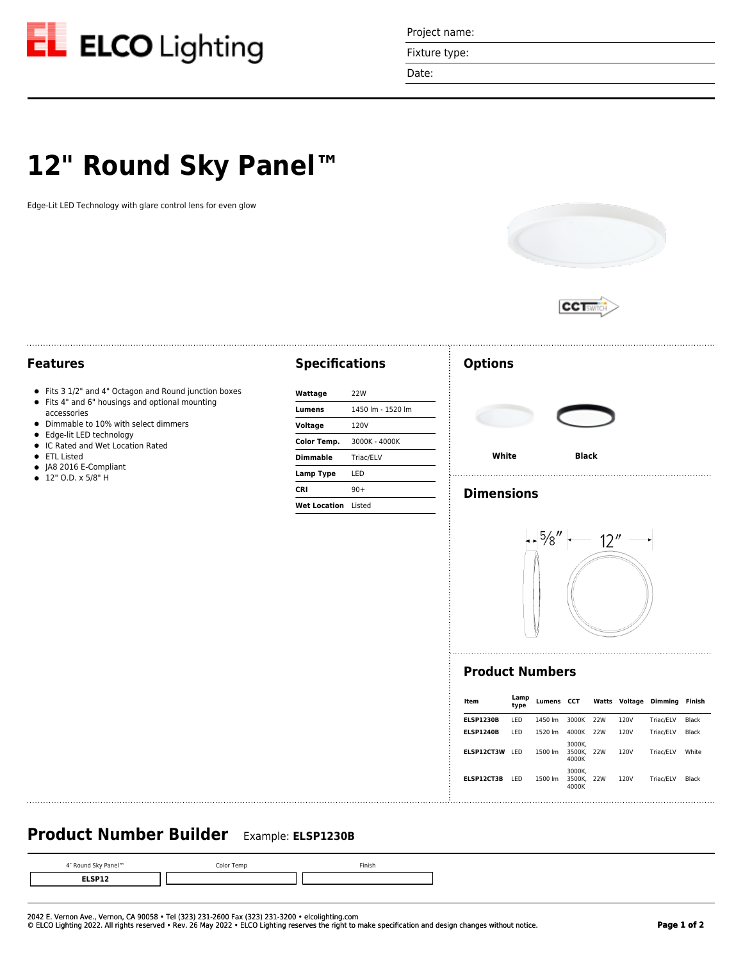

Project name:

Fixture type:

Date:

# **12" Round Sky Panel™**

Edge-Lit LED Technology with glare control lens for even glow



CCT

### **Features**

- Fits 3 1/2" and 4" Octagon and Round junction boxes
- Fits 4" and 6" housings and optional mounting accessories
- $\bullet$  Dimmable to 10% with select dimmers
- Edge-lit LED technology
- IC Rated and Wet Location Rated
- **•** ETL Listed
- JA8 2016 E-Compliant  $\bullet$
- 12" O.D. x 5/8" H

### **Specifications**

| Wattage      | 22W               |
|--------------|-------------------|
| Lumens       | 1450 lm - 1520 lm |
| Voltage      | 120V              |
| Color Temp.  | 3000K - 4000K     |
| Dimmable     | Triac/ELV         |
| Lamp Type    | LED               |
| CRI          | $90+$             |
| Wet Location | Listed            |

### **Options**



### **Dimensions**



### **Product Numbers**

| Item              | Lamp<br>type | Lumens  | <b>CCT</b>                |     | Watts Voltage | Dimmina   | Finish |
|-------------------|--------------|---------|---------------------------|-----|---------------|-----------|--------|
| <b>ELSP1230B</b>  | LED          | 1450 lm | 3000K                     | 22W | 120V          | Triac/ELV | Black  |
| <b>ELSP1240B</b>  | LED          | 1520 lm | 4000K                     | 22W | 120V          | Triac/ELV | Black  |
| <b>ELSP12CT3W</b> | I FD         | 1500 lm | 3000K.<br>3500K.<br>4000K | 22W | 120V          | Triac/ELV | White  |
| <b>ELSP12CT3B</b> | LED          | 1500 lm | 3000K.<br>3500K.<br>4000K | 22W | 120V          | Triac/ELV | Black  |

## **Product Number Builder** Example: **ELSP1230B**

4″ Round Sky Panel™ **ELSP12** Color Temp Finish

2042 E. Vernon Ave., Vernon, CA 90058 • Tel (323) 231-2600 Fax (323) 231-3200 • elcolighting.com © ELCO Lighting 2022. All rights reserved • Rev. 26 May 2022 • ELCO Lighting reserves the right to make specification and design changes without notice. **Page 1 of 2**